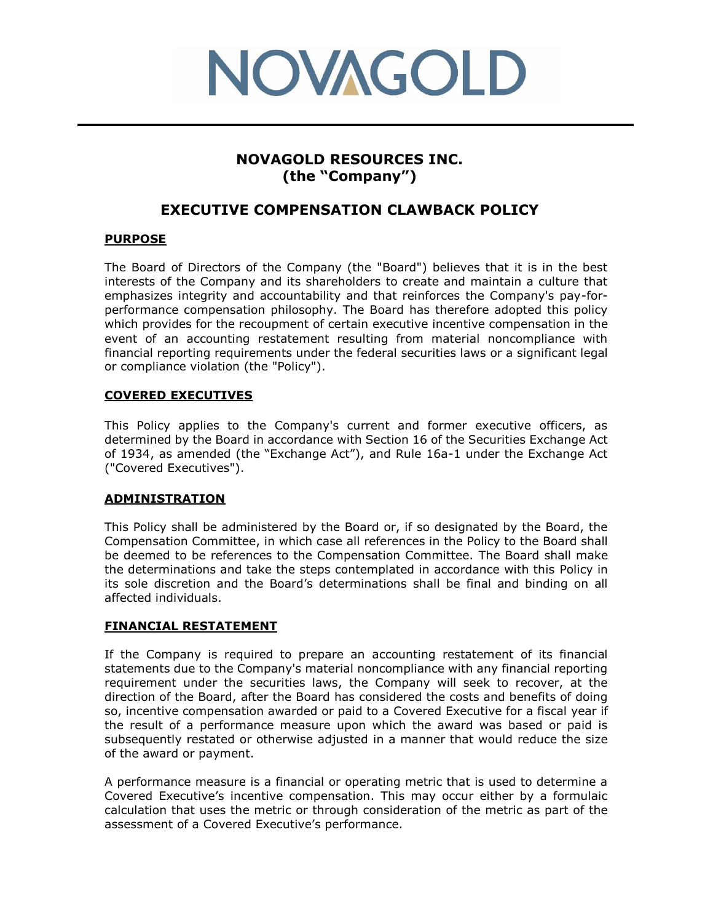

# **NOVAGOLD RESOURCES INC. (the "Company")**

## **EXECUTIVE COMPENSATION CLAWBACK POLICY**

### **PURPOSE**

The Board of Directors of the Company (the "Board") believes that it is in the best interests of the Company and its shareholders to create and maintain a culture that emphasizes integrity and accountability and that reinforces the Company's pay-forperformance compensation philosophy. The Board has therefore adopted this policy which provides for the recoupment of certain executive incentive compensation in the event of an accounting restatement resulting from material noncompliance with financial reporting requirements under the federal securities laws or a significant legal or compliance violation (the "Policy").

#### **COVERED EXECUTIVES**

This Policy applies to the Company's current and former executive officers, as determined by the Board in accordance with Section 16 of the Securities Exchange Act of 1934, as amended (the "Exchange Act"), and Rule 16a-1 under the Exchange Act ("Covered Executives").

#### **ADMINISTRATION**

This Policy shall be administered by the Board or, if so designated by the Board, the Compensation Committee, in which case all references in the Policy to the Board shall be deemed to be references to the Compensation Committee. The Board shall make the determinations and take the steps contemplated in accordance with this Policy in its sole discretion and the Board's determinations shall be final and binding on all affected individuals.

#### **FINANCIAL RESTATEMENT**

If the Company is required to prepare an accounting restatement of its financial statements due to the Company's material noncompliance with any financial reporting requirement under the securities laws, the Company will seek to recover, at the direction of the Board, after the Board has considered the costs and benefits of doing so, incentive compensation awarded or paid to a Covered Executive for a fiscal year if the result of a performance measure upon which the award was based or paid is subsequently restated or otherwise adjusted in a manner that would reduce the size of the award or payment.

A performance measure is a financial or operating metric that is used to determine a Covered Executive's incentive compensation. This may occur either by a formulaic calculation that uses the metric or through consideration of the metric as part of the assessment of a Covered Executive's performance.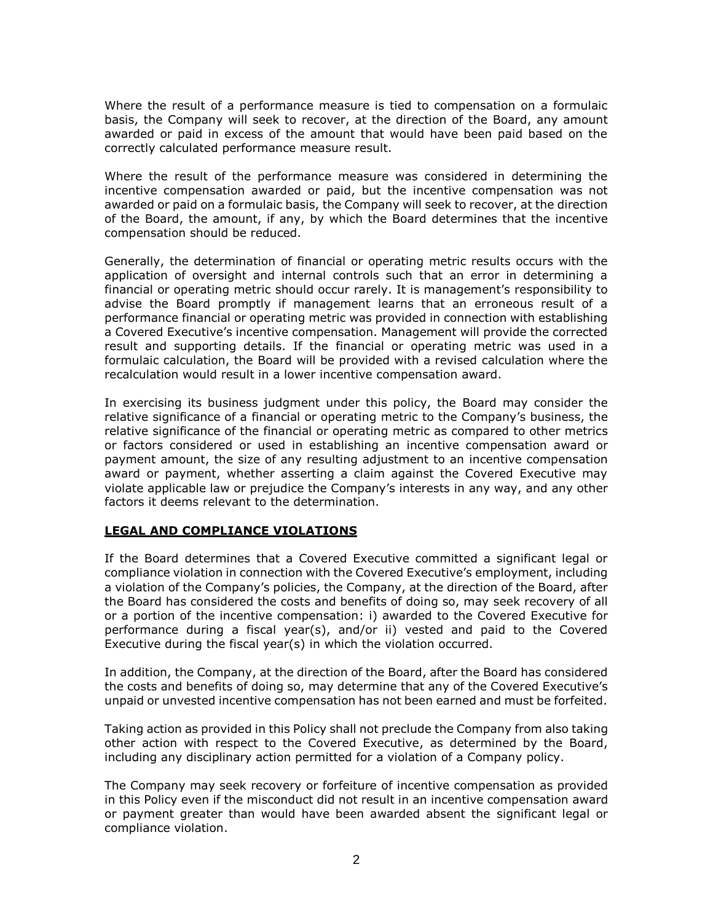Where the result of a performance measure is tied to compensation on a formulaic basis, the Company will seek to recover, at the direction of the Board, any amount awarded or paid in excess of the amount that would have been paid based on the correctly calculated performance measure result.

Where the result of the performance measure was considered in determining the incentive compensation awarded or paid, but the incentive compensation was not awarded or paid on a formulaic basis, the Company will seek to recover, at the direction of the Board, the amount, if any, by which the Board determines that the incentive compensation should be reduced.

Generally, the determination of financial or operating metric results occurs with the application of oversight and internal controls such that an error in determining a financial or operating metric should occur rarely. It is management's responsibility to advise the Board promptly if management learns that an erroneous result of a performance financial or operating metric was provided in connection with establishing a Covered Executive's incentive compensation. Management will provide the corrected result and supporting details. If the financial or operating metric was used in a formulaic calculation, the Board will be provided with a revised calculation where the recalculation would result in a lower incentive compensation award.

In exercising its business judgment under this policy, the Board may consider the relative significance of a financial or operating metric to the Company's business, the relative significance of the financial or operating metric as compared to other metrics or factors considered or used in establishing an incentive compensation award or payment amount, the size of any resulting adjustment to an incentive compensation award or payment, whether asserting a claim against the Covered Executive may violate applicable law or prejudice the Company's interests in any way, and any other factors it deems relevant to the determination.

#### **LEGAL AND COMPLIANCE VIOLATIONS**

If the Board determines that a Covered Executive committed a significant legal or compliance violation in connection with the Covered Executive's employment, including a violation of the Company's policies, the Company, at the direction of the Board, after the Board has considered the costs and benefits of doing so, may seek recovery of all or a portion of the incentive compensation: i) awarded to the Covered Executive for performance during a fiscal year(s), and/or ii) vested and paid to the Covered Executive during the fiscal year(s) in which the violation occurred.

In addition, the Company, at the direction of the Board, after the Board has considered the costs and benefits of doing so, may determine that any of the Covered Executive's unpaid or unvested incentive compensation has not been earned and must be forfeited.

Taking action as provided in this Policy shall not preclude the Company from also taking other action with respect to the Covered Executive, as determined by the Board, including any disciplinary action permitted for a violation of a Company policy.

The Company may seek recovery or forfeiture of incentive compensation as provided in this Policy even if the misconduct did not result in an incentive compensation award or payment greater than would have been awarded absent the significant legal or compliance violation.